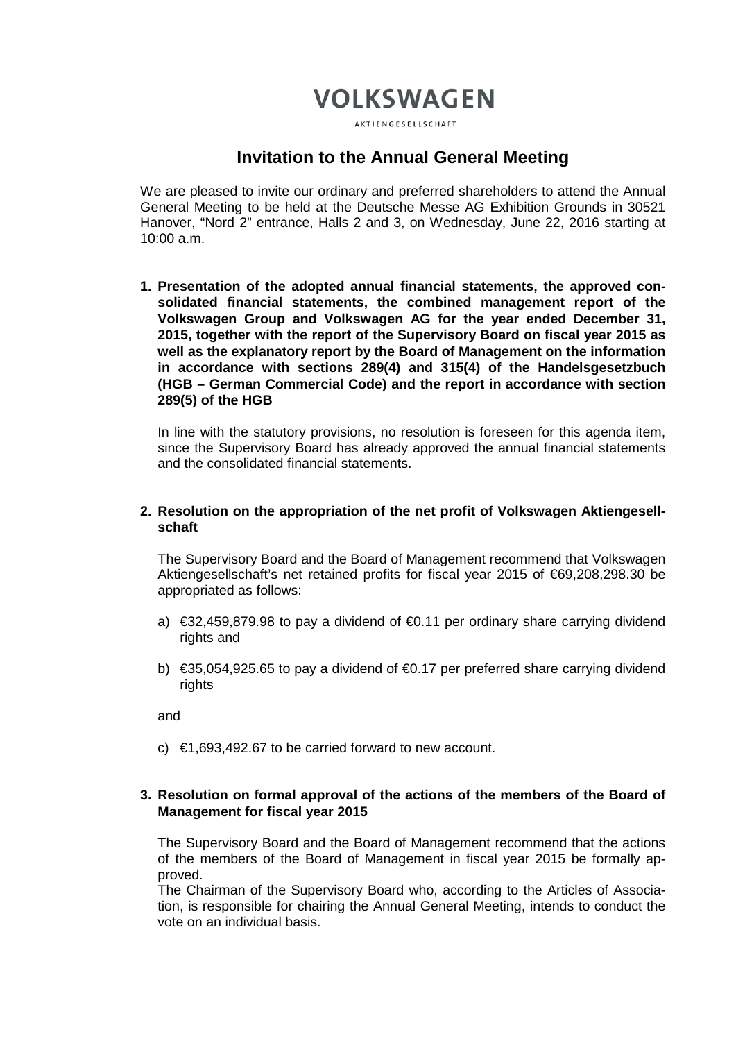# **VOLKSWAGEN**

AKTIENGESELLSCHAFT

## **Invitation to the Annual General Meeting**

We are pleased to invite our ordinary and preferred shareholders to attend the Annual General Meeting to be held at the Deutsche Messe AG Exhibition Grounds in 30521 Hanover, "Nord 2" entrance, Halls 2 and 3, on Wednesday, June 22, 2016 starting at 10:00 a.m.

**1. Presentation of the adopted annual financial statements, the approved consolidated financial statements, the combined management report of the Volkswagen Group and Volkswagen AG for the year ended December 31, 2015, together with the report of the Supervisory Board on fiscal year 2015 as well as the explanatory report by the Board of Management on the information in accordance with sections 289(4) and 315(4) of the Handelsgesetzbuch (HGB – German Commercial Code) and the report in accordance with section 289(5) of the HGB**

In line with the statutory provisions, no resolution is foreseen for this agenda item, since the Supervisory Board has already approved the annual financial statements and the consolidated financial statements.

## **2. Resolution on the appropriation of the net profit of Volkswagen Aktiengesellschaft**

The Supervisory Board and the Board of Management recommend that Volkswagen Aktiengesellschaft's net retained profits for fiscal year 2015 of €69,208,298.30 be appropriated as follows:

- a)  $\in$ 32,459,879.98 to pay a dividend of  $\in$ 0.11 per ordinary share carrying dividend rights and
- b) €35,054,925.65 to pay a dividend of €0.17 per preferred share carrying dividend rights

and

c)  $\epsilon$ 1,693,492.67 to be carried forward to new account.

## **3. Resolution on formal approval of the actions of the members of the Board of Management for fiscal year 2015**

The Supervisory Board and the Board of Management recommend that the actions of the members of the Board of Management in fiscal year 2015 be formally approved.

The Chairman of the Supervisory Board who, according to the Articles of Association, is responsible for chairing the Annual General Meeting, intends to conduct the vote on an individual basis.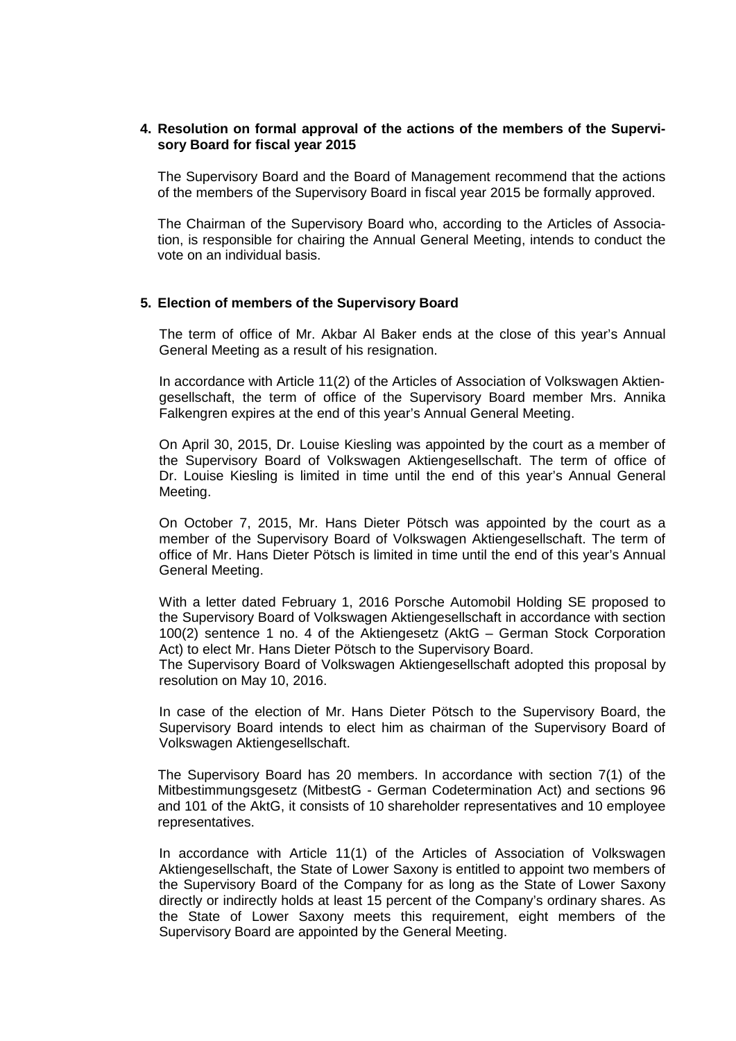## **4. Resolution on formal approval of the actions of the members of the Supervisory Board for fiscal year 2015**

The Supervisory Board and the Board of Management recommend that the actions of the members of the Supervisory Board in fiscal year 2015 be formally approved.

The Chairman of the Supervisory Board who, according to the Articles of Association, is responsible for chairing the Annual General Meeting, intends to conduct the vote on an individual basis.

#### **5. Election of members of the Supervisory Board**

The term of office of Mr. Akbar Al Baker ends at the close of this year's Annual General Meeting as a result of his resignation.

In accordance with Article 11(2) of the Articles of Association of Volkswagen Aktiengesellschaft, the term of office of the Supervisory Board member Mrs. Annika Falkengren expires at the end of this year's Annual General Meeting.

On April 30, 2015, Dr. Louise Kiesling was appointed by the court as a member of the Supervisory Board of Volkswagen Aktiengesellschaft. The term of office of Dr. Louise Kiesling is limited in time until the end of this year's Annual General Meeting.

On October 7, 2015, Mr. Hans Dieter Pötsch was appointed by the court as a member of the Supervisory Board of Volkswagen Aktiengesellschaft. The term of office of Mr. Hans Dieter Pötsch is limited in time until the end of this year's Annual General Meeting.

With a letter dated February 1, 2016 Porsche Automobil Holding SE proposed to the Supervisory Board of Volkswagen Aktiengesellschaft in accordance with section 100(2) sentence 1 no. 4 of the Aktiengesetz (AktG – German Stock Corporation Act) to elect Mr. Hans Dieter Pötsch to the Supervisory Board.

The Supervisory Board of Volkswagen Aktiengesellschaft adopted this proposal by resolution on May 10, 2016.

In case of the election of Mr. Hans Dieter Pötsch to the Supervisory Board, the Supervisory Board intends to elect him as chairman of the Supervisory Board of Volkswagen Aktiengesellschaft.

The Supervisory Board has 20 members. In accordance with section 7(1) of the Mitbestimmungsgesetz (MitbestG - German Codetermination Act) and sections 96 and 101 of the AktG, it consists of 10 shareholder representatives and 10 employee representatives.

In accordance with Article 11(1) of the Articles of Association of Volkswagen Aktiengesellschaft, the State of Lower Saxony is entitled to appoint two members of the Supervisory Board of the Company for as long as the State of Lower Saxony directly or indirectly holds at least 15 percent of the Company's ordinary shares. As the State of Lower Saxony meets this requirement, eight members of the Supervisory Board are appointed by the General Meeting.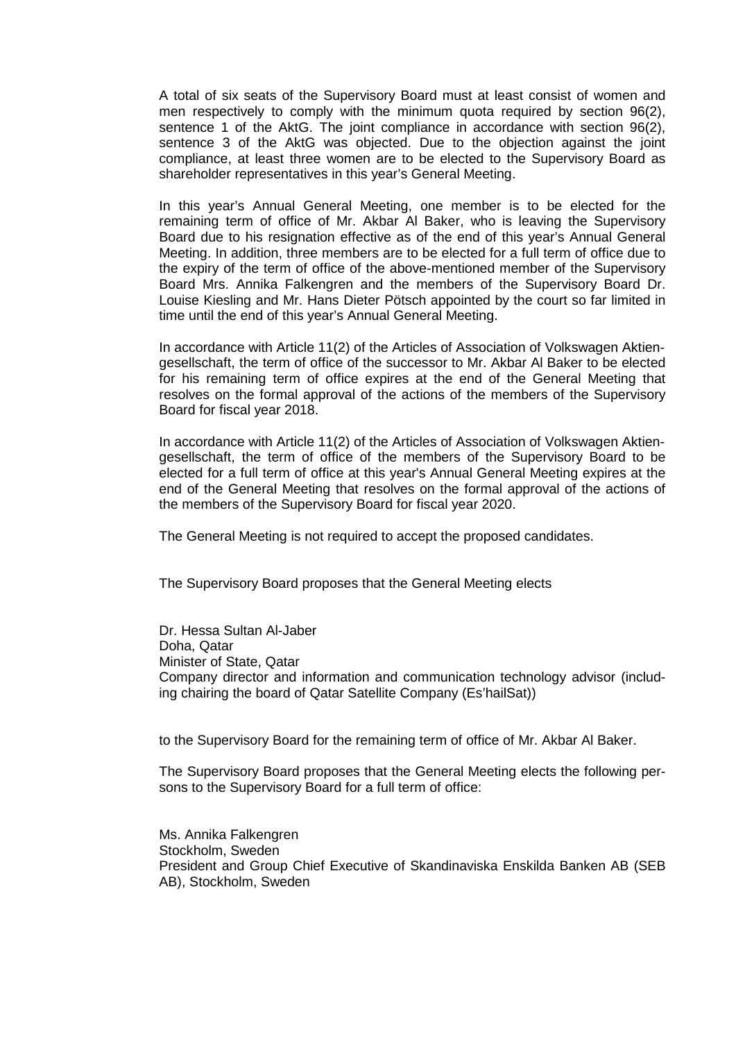A total of six seats of the Supervisory Board must at least consist of women and men respectively to comply with the minimum quota required by section 96(2), sentence 1 of the AktG. The joint compliance in accordance with section 96(2), sentence 3 of the AktG was objected. Due to the objection against the joint compliance, at least three women are to be elected to the Supervisory Board as shareholder representatives in this year's General Meeting.

In this year's Annual General Meeting, one member is to be elected for the remaining term of office of Mr. Akbar Al Baker, who is leaving the Supervisory Board due to his resignation effective as of the end of this year's Annual General Meeting. In addition, three members are to be elected for a full term of office due to the expiry of the term of office of the above-mentioned member of the Supervisory Board Mrs. Annika Falkengren and the members of the Supervisory Board Dr. Louise Kiesling and Mr. Hans Dieter Pötsch appointed by the court so far limited in time until the end of this year's Annual General Meeting.

In accordance with Article 11(2) of the Articles of Association of Volkswagen Aktiengesellschaft, the term of office of the successor to Mr. Akbar Al Baker to be elected for his remaining term of office expires at the end of the General Meeting that resolves on the formal approval of the actions of the members of the Supervisory Board for fiscal year 2018.

In accordance with Article 11(2) of the Articles of Association of Volkswagen Aktiengesellschaft, the term of office of the members of the Supervisory Board to be elected for a full term of office at this year's Annual General Meeting expires at the end of the General Meeting that resolves on the formal approval of the actions of the members of the Supervisory Board for fiscal year 2020.

The General Meeting is not required to accept the proposed candidates.

The Supervisory Board proposes that the General Meeting elects

Dr. Hessa Sultan Al-Jaber Doha, Qatar Minister of State, Qatar Company director and information and communication technology advisor (including chairing the board of Qatar Satellite Company (Es'hailSat))

to the Supervisory Board for the remaining term of office of Mr. Akbar Al Baker.

The Supervisory Board proposes that the General Meeting elects the following persons to the Supervisory Board for a full term of office:

Ms. Annika Falkengren Stockholm, Sweden President and Group Chief Executive of Skandinaviska Enskilda Banken AB (SEB AB), Stockholm, Sweden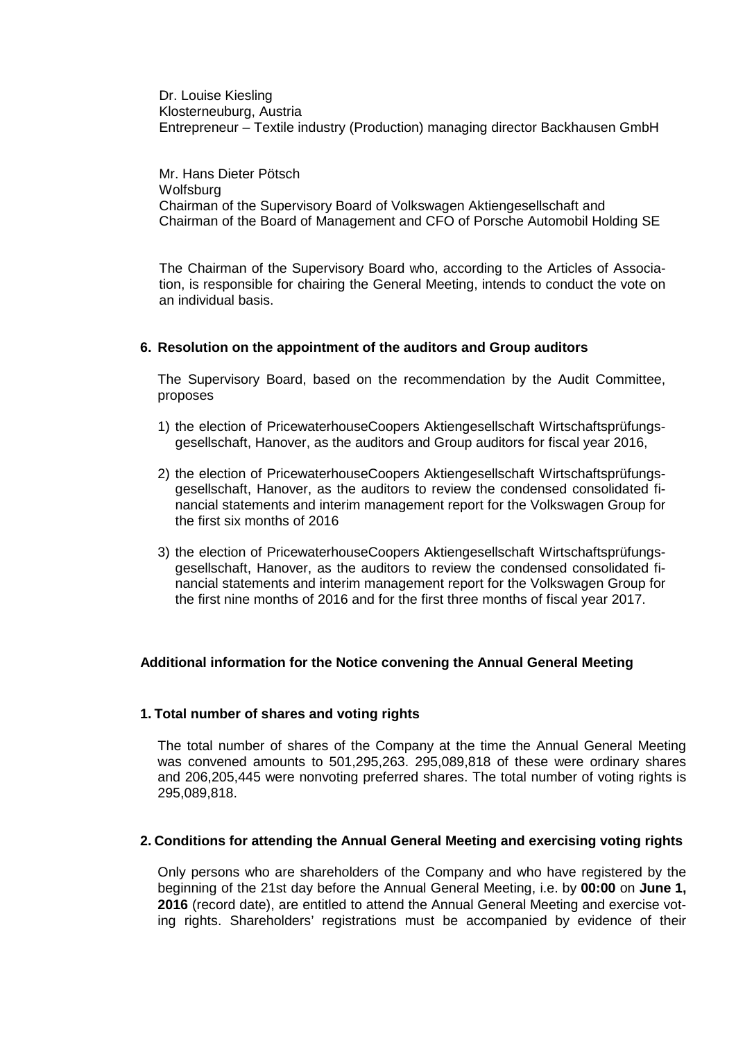Dr. Louise Kiesling Klosterneuburg, Austria Entrepreneur – Textile industry (Production) managing director Backhausen GmbH

Mr. Hans Dieter Pötsch **Wolfsburg** Chairman of the Supervisory Board of Volkswagen Aktiengesellschaft and Chairman of the Board of Management and CFO of Porsche Automobil Holding SE

The Chairman of the Supervisory Board who, according to the Articles of Association, is responsible for chairing the General Meeting, intends to conduct the vote on an individual basis.

## **6. Resolution on the appointment of the auditors and Group auditors**

The Supervisory Board, based on the recommendation by the Audit Committee, proposes

- 1) the election of PricewaterhouseCoopers Aktiengesellschaft Wirtschaftsprüfungsgesellschaft, Hanover, as the auditors and Group auditors for fiscal year 2016,
- 2) the election of PricewaterhouseCoopers Aktiengesellschaft Wirtschaftsprüfungsgesellschaft, Hanover, as the auditors to review the condensed consolidated financial statements and interim management report for the Volkswagen Group for the first six months of 2016
- 3) the election of PricewaterhouseCoopers Aktiengesellschaft Wirtschaftsprüfungsgesellschaft, Hanover, as the auditors to review the condensed consolidated financial statements and interim management report for the Volkswagen Group for the first nine months of 2016 and for the first three months of fiscal year 2017.

## **Additional information for the Notice convening the Annual General Meeting**

#### **1. Total number of shares and voting rights**

The total number of shares of the Company at the time the Annual General Meeting was convened amounts to 501,295,263. 295,089,818 of these were ordinary shares and 206,205,445 were nonvoting preferred shares. The total number of voting rights is 295,089,818.

#### **2. Conditions for attending the Annual General Meeting and exercising voting rights**

Only persons who are shareholders of the Company and who have registered by the beginning of the 21st day before the Annual General Meeting, i.e. by **00:00** on **June 1, 2016** (record date), are entitled to attend the Annual General Meeting and exercise voting rights. Shareholders' registrations must be accompanied by evidence of their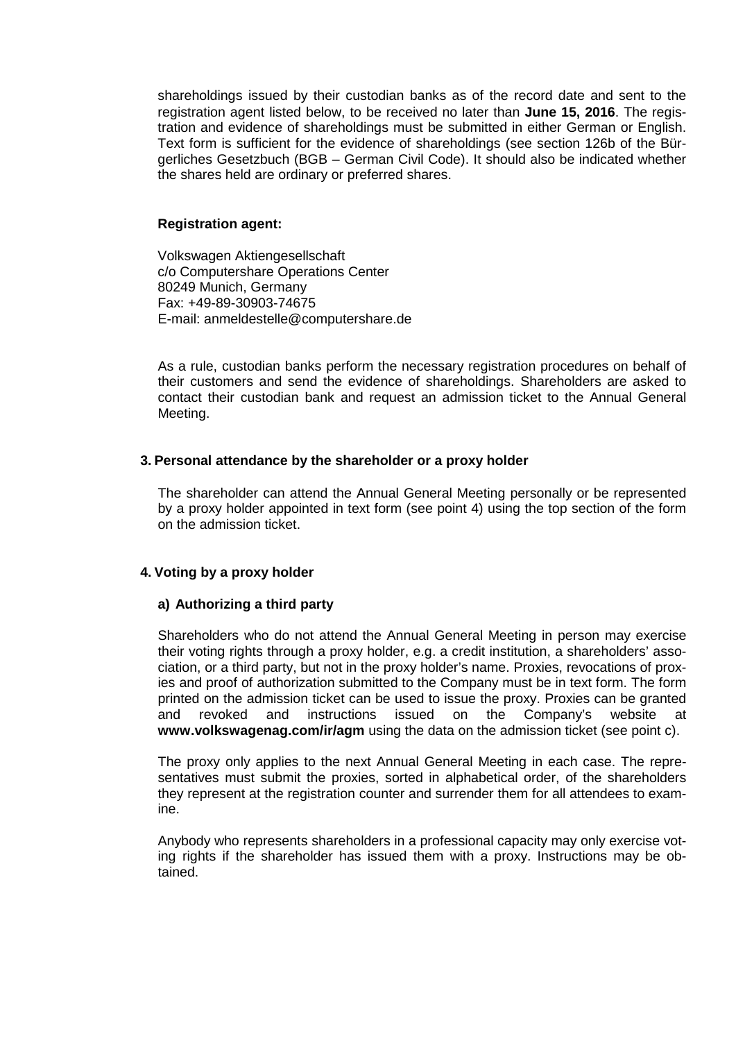shareholdings issued by their custodian banks as of the record date and sent to the registration agent listed below, to be received no later than **June 15, 2016**. The registration and evidence of shareholdings must be submitted in either German or English. Text form is sufficient for the evidence of shareholdings (see section 126b of the Bürgerliches Gesetzbuch (BGB – German Civil Code). It should also be indicated whether the shares held are ordinary or preferred shares.

## **Registration agent:**

Volkswagen Aktiengesellschaft c/o Computershare Operations Center 80249 Munich, Germany Fax: +49-89-30903-74675 E-mail: anmeldestelle@computershare.de

As a rule, custodian banks perform the necessary registration procedures on behalf of their customers and send the evidence of shareholdings. Shareholders are asked to contact their custodian bank and request an admission ticket to the Annual General Meeting.

## **3. Personal attendance by the shareholder or a proxy holder**

The shareholder can attend the Annual General Meeting personally or be represented by a proxy holder appointed in text form (see point 4) using the top section of the form on the admission ticket.

## **4. Voting by a proxy holder**

#### **a) Authorizing a third party**

Shareholders who do not attend the Annual General Meeting in person may exercise their voting rights through a proxy holder, e.g. a credit institution, a shareholders' association, or a third party, but not in the proxy holder's name. Proxies, revocations of proxies and proof of authorization submitted to the Company must be in text form. The form printed on the admission ticket can be used to issue the proxy. Proxies can be granted and revoked and instructions issued on the Company's website at **[www.volkswagenag.com/ir/agm](http://www.volkswagenag.com/ir/agm)** using the data on the admission ticket (see point c).

The proxy only applies to the next Annual General Meeting in each case. The representatives must submit the proxies, sorted in alphabetical order, of the shareholders they represent at the registration counter and surrender them for all attendees to examine.

Anybody who represents shareholders in a professional capacity may only exercise voting rights if the shareholder has issued them with a proxy. Instructions may be obtained.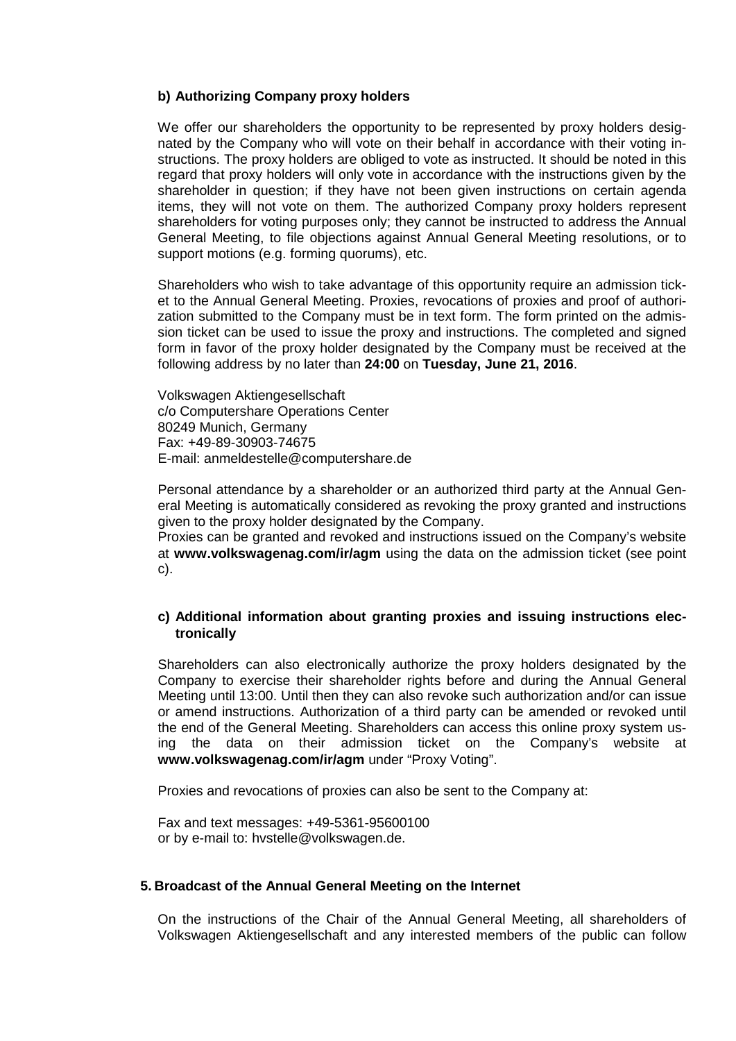## **b) Authorizing Company proxy holders**

We offer our shareholders the opportunity to be represented by proxy holders designated by the Company who will vote on their behalf in accordance with their voting instructions. The proxy holders are obliged to vote as instructed. It should be noted in this regard that proxy holders will only vote in accordance with the instructions given by the shareholder in question; if they have not been given instructions on certain agenda items, they will not vote on them. The authorized Company proxy holders represent shareholders for voting purposes only; they cannot be instructed to address the Annual General Meeting, to file objections against Annual General Meeting resolutions, or to support motions (e.g. forming quorums), etc.

Shareholders who wish to take advantage of this opportunity require an admission ticket to the Annual General Meeting. Proxies, revocations of proxies and proof of authorization submitted to the Company must be in text form. The form printed on the admission ticket can be used to issue the proxy and instructions. The completed and signed form in favor of the proxy holder designated by the Company must be received at the following address by no later than **24:00** on **Tuesday, June 21, 2016**.

Volkswagen Aktiengesellschaft c/o Computershare Operations Center 80249 Munich, Germany Fax: +49-89-30903-74675 E-mail: anmeldestelle@computershare.de

Personal attendance by a shareholder or an authorized third party at the Annual General Meeting is automatically considered as revoking the proxy granted and instructions given to the proxy holder designated by the Company.

Proxies can be granted and revoked and instructions issued on the Company's website at **[www.volkswagenag.com/ir/agm](http://www.volkswagenag.com/ir/agm)** using the data on the admission ticket (see point c).

## **c) Additional information about granting proxies and issuing instructions electronically**

Shareholders can also electronically authorize the proxy holders designated by the Company to exercise their shareholder rights before and during the Annual General Meeting until 13:00. Until then they can also revoke such authorization and/or can issue or amend instructions. Authorization of a third party can be amended or revoked until the end of the General Meeting. Shareholders can access this online proxy system using the data on their admission ticket on the Company's website at **[www.volkswagenag.com/ir/agm](http://www.volkswagenag.com/ir/agm)** under "Proxy Voting".

Proxies and revocations of proxies can also be sent to the Company at:

Fax and text messages: +49-5361-95600100 or by e-mail to: [hvstelle@volkswagen.de.](mailto:hvstelle@volkswagen.de)

#### **5. Broadcast of the Annual General Meeting on the Internet**

On the instructions of the Chair of the Annual General Meeting, all shareholders of Volkswagen Aktiengesellschaft and any interested members of the public can follow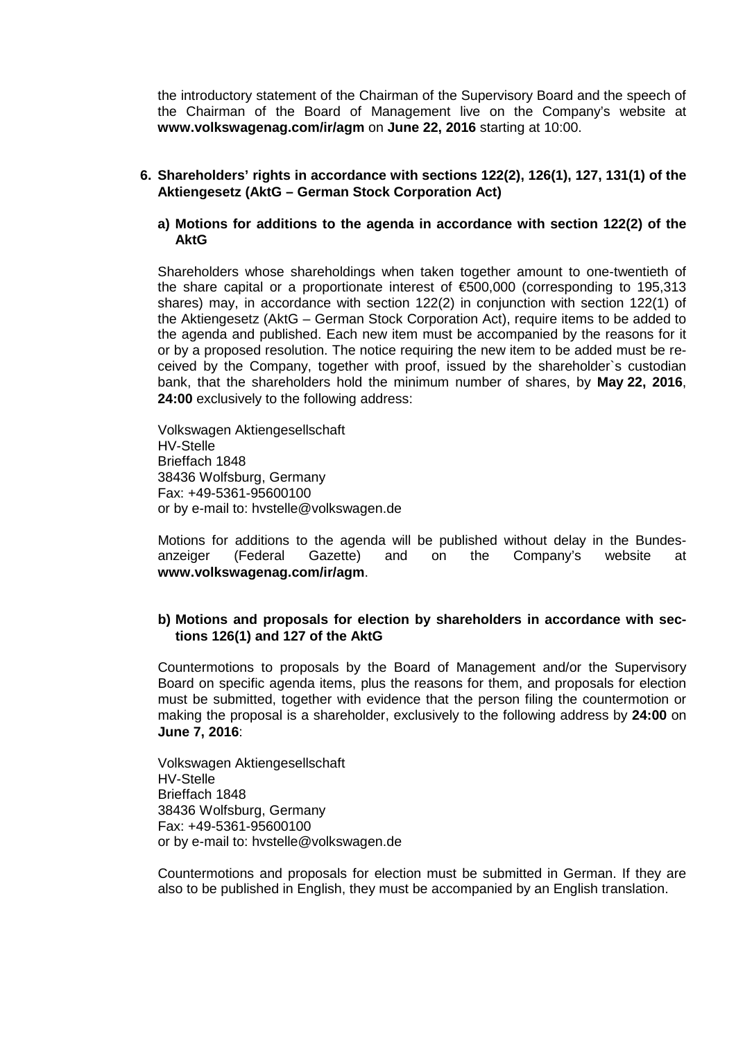the introductory statement of the Chairman of the Supervisory Board and the speech of the Chairman of the Board of Management live on the Company's website at **[www.volkswagenag.com/ir/agm](http://www.volkswagenag.com/ir/agm)** on **June 22, 2016** starting at 10:00.

- **6. Shareholders' rights in accordance with sections 122(2), 126(1), 127, 131(1) of the Aktiengesetz (AktG – German Stock Corporation Act)**
	- **a) Motions for additions to the agenda in accordance with section 122(2) of the AktG**

Shareholders whose shareholdings when taken together amount to one-twentieth of the share capital or a proportionate interest of €500,000 (corresponding to 195,313 shares) may, in accordance with section 122(2) in conjunction with section 122(1) of the Aktiengesetz (AktG – German Stock Corporation Act), require items to be added to the agenda and published. Each new item must be accompanied by the reasons for it or by a proposed resolution. The notice requiring the new item to be added must be received by the Company, together with proof, issued by the shareholder`s custodian bank, that the shareholders hold the minimum number of shares, by **May 22, 2016**, **24:00** exclusively to the following address:

Volkswagen Aktiengesellschaft HV-Stelle Brieffach 1848 38436 Wolfsburg, Germany Fax: +49-5361-95600100 or by e-mail to: [hvstelle@volkswagen.de](mailto:hvstelle@volkswagen.de)

Motions for additions to the agenda will be published without delay in the Bundesanzeiger (Federal Gazette) and on the Company's website at **[www.volkswagenag.com/ir/agm](http://www.volkswagenag.com/ir/agm)**.

## **b) Motions and proposals for election by shareholders in accordance with sections 126(1) and 127 of the AktG**

Countermotions to proposals by the Board of Management and/or the Supervisory Board on specific agenda items, plus the reasons for them, and proposals for election must be submitted, together with evidence that the person filing the countermotion or making the proposal is a shareholder, exclusively to the following address by **24:00** on **June 7, 2016**:

Volkswagen Aktiengesellschaft HV-Stelle Brieffach 1848 38436 Wolfsburg, Germany Fax: +49-5361-95600100 or by e-mail to: [hvstelle@volkswagen.de](mailto:hvstelle@volkswagen.de)

Countermotions and proposals for election must be submitted in German. If they are also to be published in English, they must be accompanied by an English translation.